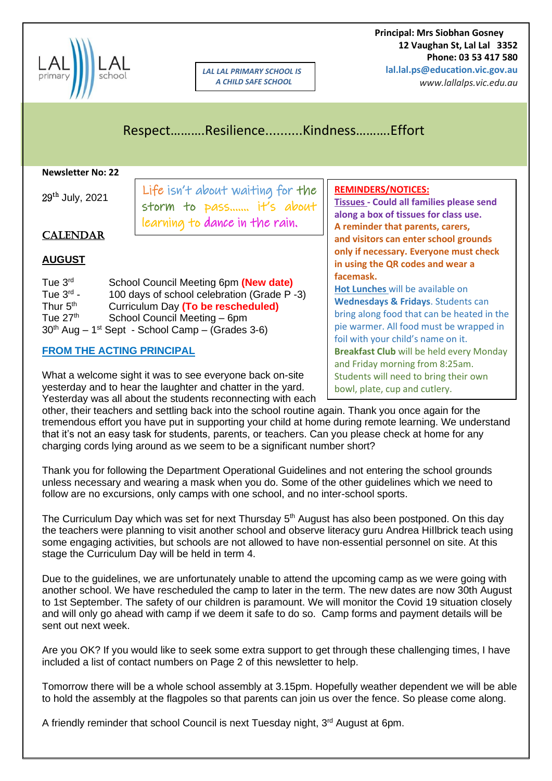

*LAL LAL PRIMARY SCHOOL IS A CHILD SAFE SCHOOL*

 **Principal: Mrs Siobhan Gosney 12 Vaughan St, Lal Lal 3352 Phone: 03 53 417 580 lal.lal.ps@education.vic.gov.au**

*www.lallalps.vic.edu.au* 

Respect……….Resilience..........Kindness……….Effort

#### **Newsletter No: 22**

| Newsletter No: 22                                                                                                                                                                                                                                                                                     |                                                              |                                                                                                                                                                                                                    |
|-------------------------------------------------------------------------------------------------------------------------------------------------------------------------------------------------------------------------------------------------------------------------------------------------------|--------------------------------------------------------------|--------------------------------------------------------------------------------------------------------------------------------------------------------------------------------------------------------------------|
| $29^{th}$ July, 2021                                                                                                                                                                                                                                                                                  | Life isn't about waiting for the<br>storm to pass it's about | <b>REMINDERS/NOTICES:</b><br><b>Tissues - Could all families please send</b><br>along a box of tissues for class use.                                                                                              |
| <b>CALENDAR</b>                                                                                                                                                                                                                                                                                       | learning to dance in the rain.                               | A reminder that parents, carers,<br>and visitors can enter school grounds<br>only if necessary. Everyone must check                                                                                                |
| <b>AUGUST</b>                                                                                                                                                                                                                                                                                         |                                                              | in using the QR codes and wear a                                                                                                                                                                                   |
| Tue 3rd<br>School Council Meeting 6pm (New date)<br>Tue $3^{\text{rd}}$ -<br>100 days of school celebration (Grade P-3)<br>Thur 5 <sup>th</sup><br>Curriculum Day (To be rescheduled)<br>Tue $27th$<br>School Council Meeting - 6pm<br>$30th$ Aug – 1 <sup>st</sup> Sept - School Camp – (Grades 3-6) |                                                              | facemask.<br>Hot Lunches will be available on<br>Wednesdays & Fridays. Students can<br>bring along food that can be heated in the<br>pie warmer. All food must be wrapped in<br>foil with your child's name on it. |
| <b>FROM THE ACTING PRINCIPAL</b>                                                                                                                                                                                                                                                                      |                                                              | <b>Breakfast Club</b> will be held every Monday                                                                                                                                                                    |
| What a welcome sight it was to see everyone back on-site<br>yesterday and to hear the laughter and chatter in the yard.                                                                                                                                                                               |                                                              | and Friday morning from 8:25am.<br>Students will need to bring their own<br>bowl, plate, cup and cutlery.                                                                                                          |

yesterday and to hear the laughter and chatter in the yard. Yesterday was all about the students reconnecting with each

other, their teachers and settling back into the school routine again. Thank you once again for the tremendous effort you have put in supporting your child at home during remote learning. We understand that it's not an easy task for students, parents, or teachers. Can you please check at home for any charging cords lying around as we seem to be a significant number short?

Thank you for following the Department Operational Guidelines and not entering the school grounds unless necessary and wearing a mask when you do. Some of the other guidelines which we need to follow are no excursions, only camps with one school, and no inter-school sports.

The Curriculum Day which was set for next Thursday 5<sup>th</sup> August has also been postponed. On this day the teachers were planning to visit another school and observe literacy guru Andrea HiIlbrick teach using some engaging activities, but schools are not allowed to have non-essential personnel on site. At this stage the Curriculum Day will be held in term 4.

Due to the guidelines, we are unfortunately unable to attend the upcoming camp as we were going with another school. We have rescheduled the camp to later in the term. The new dates are now 30th August to 1st September. The safety of our children is paramount. We will monitor the Covid 19 situation closely and will only go ahead with camp if we deem it safe to do so. Camp forms and payment details will be sent out next week.

Are you OK? If you would like to seek some extra support to get through these challenging times, I have included a list of contact numbers on Page 2 of this newsletter to help.

Tomorrow there will be a whole school assembly at 3.15pm. Hopefully weather dependent we will be able to hold the assembly at the flagpoles so that parents can join us over the fence. So please come along.

A friendly reminder that school Council is next Tuesday night, 3<sup>rd</sup> August at 6pm.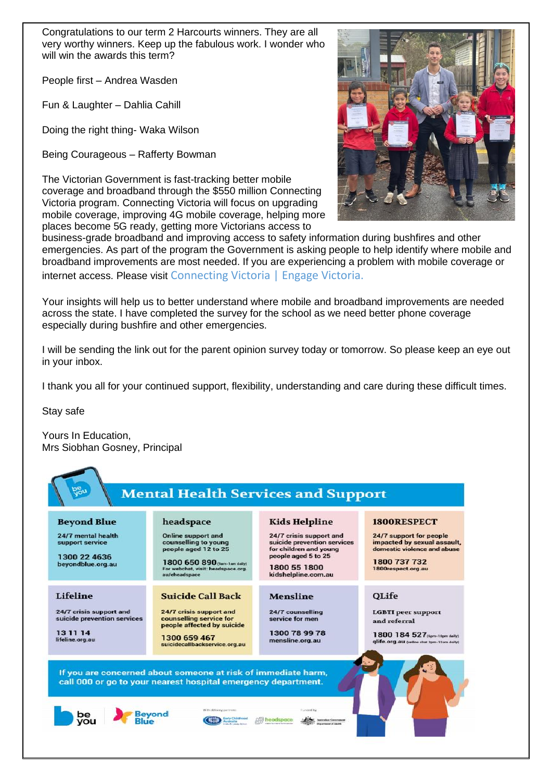Congratulations to our term 2 Harcourts winners. They are all very worthy winners. Keep up the fabulous work. I wonder who will win the awards this term?

People first – Andrea Wasden

Fun & Laughter – Dahlia Cahill

Doing the right thing- Waka Wilson

Being Courageous – Rafferty Bowman

The Victorian Government is fast-tracking better mobile coverage and broadband through the \$550 million Connecting Victoria program. Connecting Victoria will focus on upgrading mobile coverage, improving 4G mobile coverage, helping more places become 5G ready, getting more Victorians access to



business-grade broadband and improving access to safety information during bushfires and other emergencies. As part of the program the Government is asking people to help identify where mobile and broadband improvements are most needed. If you are experiencing a problem with mobile coverage or internet access. Please visit Connecting Victoria | Engage Victoria.

Your insights will help us to better understand where mobile and broadband improvements are needed across the state. I have completed the survey for the school as we need better phone coverage especially during bushfire and other emergencies.

I will be sending the link out for the parent opinion survey today or tomorrow. So please keep an eye out in your inbox.

I thank you all for your continued support, flexibility, understanding and care during these difficult times.

Stay safe

Yours In Education, Mrs Siobhan Gosney, Principal

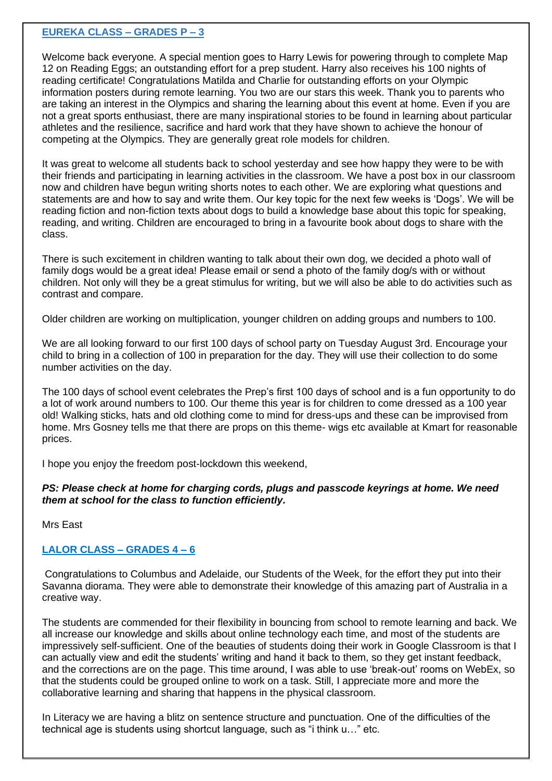#### **EUREKA CLASS – GRADES P – 3**

Welcome back everyone. A special mention goes to Harry Lewis for powering through to complete Map 12 on Reading Eggs; an outstanding effort for a prep student. Harry also receives his 100 nights of reading certificate! Congratulations Matilda and Charlie for outstanding efforts on your Olympic information posters during remote learning. You two are our stars this week. Thank you to parents who are taking an interest in the Olympics and sharing the learning about this event at home. Even if you are not a great sports enthusiast, there are many inspirational stories to be found in learning about particular athletes and the resilience, sacrifice and hard work that they have shown to achieve the honour of competing at the Olympics. They are generally great role models for children.

It was great to welcome all students back to school yesterday and see how happy they were to be with their friends and participating in learning activities in the classroom. We have a post box in our classroom now and children have begun writing shorts notes to each other. We are exploring what questions and statements are and how to say and write them. Our key topic for the next few weeks is 'Dogs'. We will be reading fiction and non-fiction texts about dogs to build a knowledge base about this topic for speaking, reading, and writing. Children are encouraged to bring in a favourite book about dogs to share with the class.

There is such excitement in children wanting to talk about their own dog, we decided a photo wall of family dogs would be a great idea! Please email or send a photo of the family dog/s with or without children. Not only will they be a great stimulus for writing, but we will also be able to do activities such as contrast and compare.

Older children are working on multiplication, younger children on adding groups and numbers to 100.

We are all looking forward to our first 100 days of school party on Tuesday August 3rd. Encourage your child to bring in a collection of 100 in preparation for the day. They will use their collection to do some number activities on the day.

The 100 days of school event celebrates the Prep's first 100 days of school and is a fun opportunity to do a lot of work around numbers to 100. Our theme this year is for children to come dressed as a 100 year old! Walking sticks, hats and old clothing come to mind for dress-ups and these can be improvised from home. Mrs Gosney tells me that there are props on this theme- wigs etc available at Kmart for reasonable prices.

I hope you enjoy the freedom post-lockdown this weekend,

#### *PS: Please check at home for charging cords, plugs and passcode keyrings at home. We need them at school for the class to function efficiently.*

Mrs East

### **LALOR CLASS – GRADES 4 – 6**

Congratulations to Columbus and Adelaide, our Students of the Week, for the effort they put into their Savanna diorama. They were able to demonstrate their knowledge of this amazing part of Australia in a creative way.

The students are commended for their flexibility in bouncing from school to remote learning and back. We all increase our knowledge and skills about online technology each time, and most of the students are impressively self-sufficient. One of the beauties of students doing their work in Google Classroom is that I can actually view and edit the students' writing and hand it back to them, so they get instant feedback, and the corrections are on the page. This time around, I was able to use 'break-out' rooms on WebEx, so that the students could be grouped online to work on a task. Still, I appreciate more and more the collaborative learning and sharing that happens in the physical classroom.

In Literacy we are having a blitz on sentence structure and punctuation. One of the difficulties of the technical age is students using shortcut language, such as "i think u…" etc.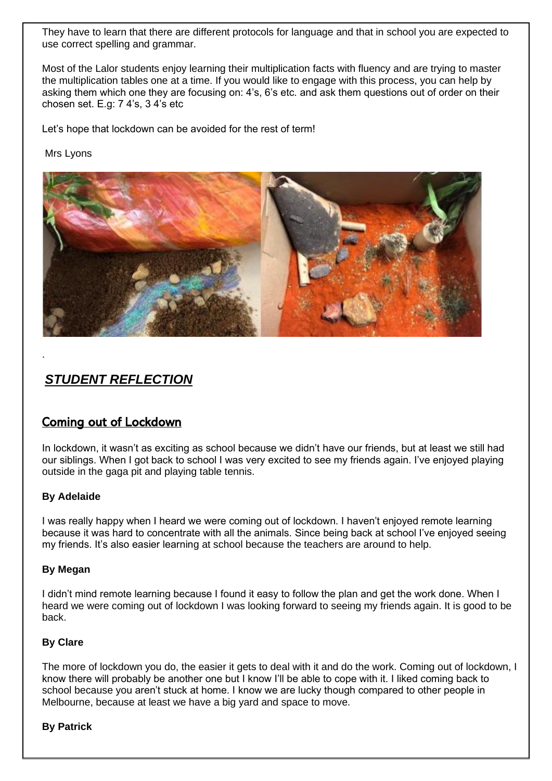They have to learn that there are different protocols for language and that in school you are expected to use correct spelling and grammar.

Most of the Lalor students enjoy learning their multiplication facts with fluency and are trying to master the multiplication tables one at a time. If you would like to engage with this process, you can help by asking them which one they are focusing on: 4's, 6's etc. and ask them questions out of order on their chosen set. E.g: 7 4's, 3 4's etc

Let's hope that lockdown can be avoided for the rest of term!

Mrs Lyons



# *STUDENT REFLECTION*

## Coming out of Lockdown

In lockdown, it wasn't as exciting as school because we didn't have our friends, but at least we still had our siblings. When I got back to school I was very excited to see my friends again. I've enjoyed playing outside in the gaga pit and playing table tennis.

#### **By Adelaide**

.

I was really happy when I heard we were coming out of lockdown. I haven't enjoyed remote learning because it was hard to concentrate with all the animals. Since being back at school I've enjoyed seeing my friends. It's also easier learning at school because the teachers are around to help.

#### **By Megan**

I didn't mind remote learning because I found it easy to follow the plan and get the work done. When I heard we were coming out of lockdown I was looking forward to seeing my friends again. It is good to be back.

#### **By Clare**

The more of lockdown you do, the easier it gets to deal with it and do the work. Coming out of lockdown, I know there will probably be another one but I know I'll be able to cope with it. I liked coming back to school because you aren't stuck at home. I know we are lucky though compared to other people in Melbourne, because at least we have a big yard and space to move.

#### **By Patrick**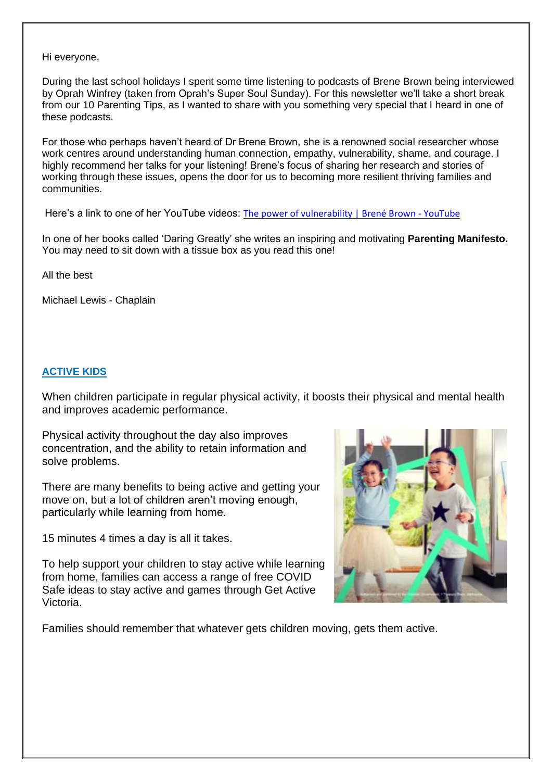Hi everyone,

During the last school holidays I spent some time listening to podcasts of Brene Brown being interviewed by Oprah Winfrey (taken from Oprah's Super Soul Sunday). For this newsletter we'll take a short break from our 10 Parenting Tips, as I wanted to share with you something very special that I heard in one of these podcasts.

For those who perhaps haven't heard of Dr Brene Brown, she is a renowned social researcher whose work centres around understanding human connection, empathy, vulnerability, shame, and courage. I highly recommend her talks for your listening! Brene's focus of sharing her research and stories of working through these issues, opens the door for us to becoming more resilient thriving families and communities.

Here's a link to one of her YouTube videos: [The power of vulnerability | Brené Brown -](https://www.youtube.com/watch?v=iCvmsMzlF7o) YouTube

In one of her books called 'Daring Greatly' she writes an inspiring and motivating **Parenting Manifesto.** You may need to sit down with a tissue box as you read this one!

All the best

Michael Lewis - Chaplain

#### **ACTIVE KIDS**

When children participate in regular physical activity, it boosts their physical and mental health and improves academic performance.

Physical activity throughout the day also improves concentration, and the ability to retain information and solve problems.

There are many benefits to being active and getting your move on, but a lot of children aren't moving enough, particularly while learning from home.

15 minutes 4 times a day is all it takes.

To help support your children to stay active while learning from home, families can access a range of free COVID Safe ideas to stay active and games through Get Active Victoria.



Families should remember that whatever gets children moving, gets them active.